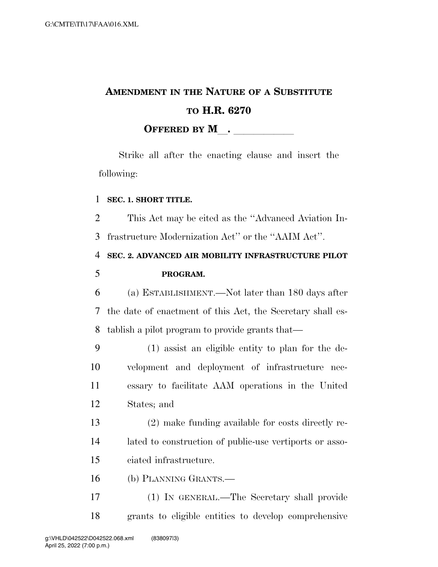# **AMENDMENT IN THE NATURE OF A SUBSTITUTE TO H.R. 6270 OFFERED BY M**.

Strike all after the enacting clause and insert the following:

### **SEC. 1. SHORT TITLE.**

 This Act may be cited as the ''Advanced Aviation In-frastructure Modernization Act'' or the ''AAIM Act''.

**SEC. 2. ADVANCED AIR MOBILITY INFRASTRUCTURE PILOT** 

## **PROGRAM.**

 (a) ESTABLISHMENT.—Not later than 180 days after the date of enactment of this Act, the Secretary shall es-tablish a pilot program to provide grants that—

 (1) assist an eligible entity to plan for the de- velopment and deployment of infrastructure nec- essary to facilitate AAM operations in the United States; and

 (2) make funding available for costs directly re- lated to construction of public-use vertiports or asso-ciated infrastructure.

(b) PLANNING GRANTS.—

 (1) IN GENERAL.—The Secretary shall provide grants to eligible entities to develop comprehensive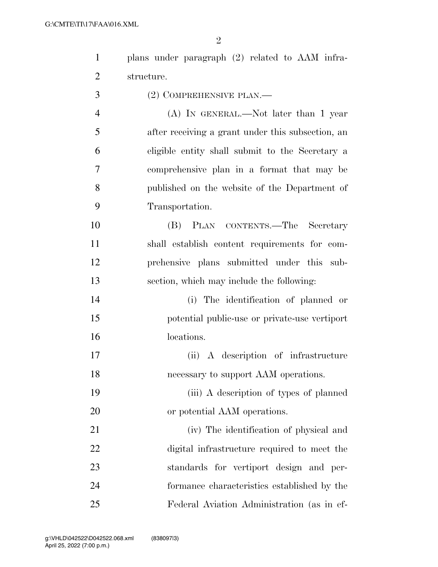| $\overline{2}$<br>structure.<br>3<br>$(2)$ COMPREHENSIVE PLAN.—<br>$\overline{4}$<br>(A) IN GENERAL.—Not later than 1 year<br>5<br>after receiving a grant under this subsection, an<br>6<br>eligible entity shall submit to the Secretary a<br>7<br>comprehensive plan in a format that may be<br>8<br>published on the website of the Department of<br>9<br>Transportation.<br>10<br>(B) PLAN CONTENTS.—The Secretary<br>11<br>shall establish content requirements for com-<br>12<br>prehensive plans submitted under this sub- |  |
|------------------------------------------------------------------------------------------------------------------------------------------------------------------------------------------------------------------------------------------------------------------------------------------------------------------------------------------------------------------------------------------------------------------------------------------------------------------------------------------------------------------------------------|--|
|                                                                                                                                                                                                                                                                                                                                                                                                                                                                                                                                    |  |
|                                                                                                                                                                                                                                                                                                                                                                                                                                                                                                                                    |  |
|                                                                                                                                                                                                                                                                                                                                                                                                                                                                                                                                    |  |
|                                                                                                                                                                                                                                                                                                                                                                                                                                                                                                                                    |  |
|                                                                                                                                                                                                                                                                                                                                                                                                                                                                                                                                    |  |
|                                                                                                                                                                                                                                                                                                                                                                                                                                                                                                                                    |  |
|                                                                                                                                                                                                                                                                                                                                                                                                                                                                                                                                    |  |
|                                                                                                                                                                                                                                                                                                                                                                                                                                                                                                                                    |  |
|                                                                                                                                                                                                                                                                                                                                                                                                                                                                                                                                    |  |
|                                                                                                                                                                                                                                                                                                                                                                                                                                                                                                                                    |  |
|                                                                                                                                                                                                                                                                                                                                                                                                                                                                                                                                    |  |
| 13<br>section, which may include the following:                                                                                                                                                                                                                                                                                                                                                                                                                                                                                    |  |
| 14<br>(i) The identification of planned or                                                                                                                                                                                                                                                                                                                                                                                                                                                                                         |  |
| 15<br>potential public-use or private-use vertiport                                                                                                                                                                                                                                                                                                                                                                                                                                                                                |  |
| 16<br>locations.                                                                                                                                                                                                                                                                                                                                                                                                                                                                                                                   |  |
| 17<br>(ii) A description of infrastructure                                                                                                                                                                                                                                                                                                                                                                                                                                                                                         |  |
| 18<br>necessary to support AAM operations.                                                                                                                                                                                                                                                                                                                                                                                                                                                                                         |  |
| 19<br>(iii) A description of types of planned                                                                                                                                                                                                                                                                                                                                                                                                                                                                                      |  |
| 20<br>or potential AAM operations.                                                                                                                                                                                                                                                                                                                                                                                                                                                                                                 |  |
| 21<br>(iv) The identification of physical and                                                                                                                                                                                                                                                                                                                                                                                                                                                                                      |  |
| 22<br>digital infrastructure required to meet the                                                                                                                                                                                                                                                                                                                                                                                                                                                                                  |  |
| 23<br>standards for vertiport design and per-                                                                                                                                                                                                                                                                                                                                                                                                                                                                                      |  |
| 24<br>formance characteristics established by the                                                                                                                                                                                                                                                                                                                                                                                                                                                                                  |  |
| 25<br>Federal Aviation Administration (as in ef-                                                                                                                                                                                                                                                                                                                                                                                                                                                                                   |  |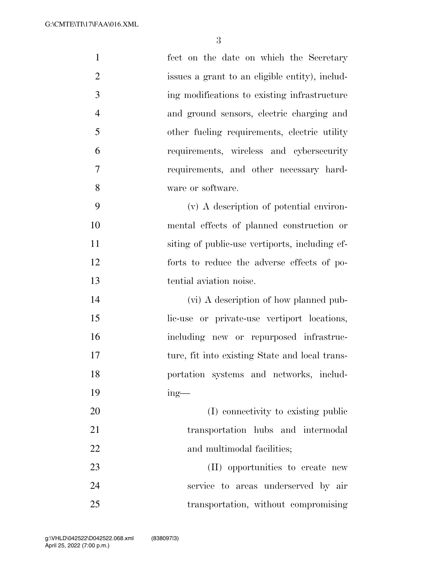| $\mathbf{1}$   | fect on the date on which the Secretary        |
|----------------|------------------------------------------------|
| $\overline{2}$ | issues a grant to an eligible entity), includ- |
| 3              | ing modifications to existing infrastructure   |
| $\overline{4}$ | and ground sensors, electric charging and      |
| 5              | other fueling requirements, electric utility   |
| 6              | requirements, wireless and cybersecurity       |
| 7              | requirements, and other necessary hard-        |
| 8              | ware or software.                              |
| 9              | (v) A description of potential environ-        |
| 10             | mental effects of planned construction or      |
| 11             | siting of public-use vertiports, including ef- |
| 12             | forts to reduce the adverse effects of po-     |
| 13             | tential aviation noise.                        |
| 14             | (vi) A description of how planned pub-         |
| 15             | lic-use or private-use vertiport locations,    |
| 16             | including new or repurposed infrastruc-        |
| 17             | ture, fit into existing State and local trans- |
| 18             | portation systems and networks, includ-        |
| 19             | $ing$ —                                        |
| 20             | (I) connectivity to existing public            |
| 21             | transportation hubs and intermodal             |
| 22             | and multimodal facilities;                     |
| 23             | (II) opportunities to create new               |
| 24             | service to areas underserved by air            |
| 25             | transportation, without compromising           |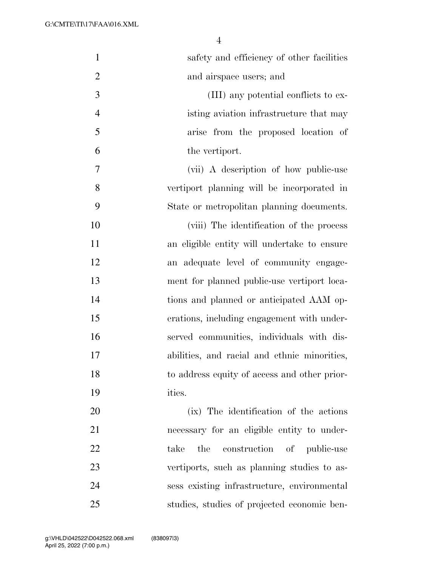| $\mathbf{1}$   | safety and efficiency of other facilities    |
|----------------|----------------------------------------------|
| $\overline{2}$ | and airspace users; and                      |
| 3              | (III) any potential conflicts to ex-         |
| $\overline{4}$ | isting aviation infrastructure that may      |
| 5              | arise from the proposed location of          |
| 6              | the vertiport.                               |
| 7              | (vii) A description of how public-use        |
| 8              | vertiport planning will be incorporated in   |
| 9              | State or metropolitan planning documents.    |
| 10             | (viii) The identification of the process     |
| 11             | an eligible entity will undertake to ensure  |
| 12             | an adequate level of community engage-       |
| 13             | ment for planned public-use vertiport loca-  |
| 14             | tions and planned or anticipated AAM op-     |
| 15             | erations, including engagement with under-   |
| 16             | served communities, individuals with dis-    |
| 17             | abilities, and racial and ethnic minorities, |
| 18             | to address equity of access and other prior- |
| 19             | ities.                                       |
| 20             | (ix) The identification of the actions       |
| 21             | necessary for an eligible entity to under-   |
| 22             | construction of public-use<br>the<br>take    |
| 23             | vertiports, such as planning studies to as-  |
| 24             | sess existing infrastructure, environmental  |
| 25             | studies, studies of projected economic ben-  |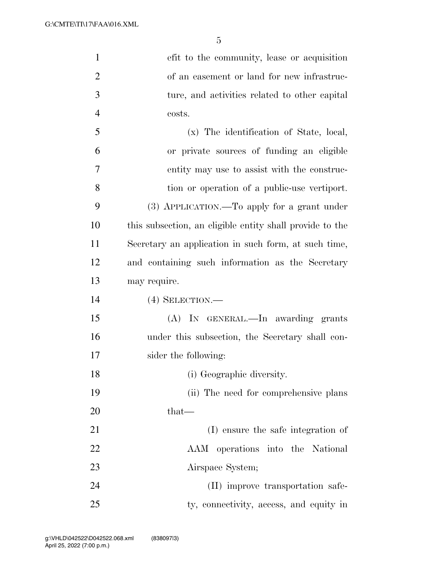G:\CMTE\TI\17\FAA\016.XML

| $\mathbf{1}$   | efit to the community, lease or acquisition              |
|----------------|----------------------------------------------------------|
| $\overline{2}$ | of an easement or land for new infrastruc-               |
| $\mathfrak{Z}$ | ture, and activities related to other capital            |
| $\overline{4}$ | costs.                                                   |
| 5              | (x) The identification of State, local,                  |
| 6              | or private sources of funding an eligible                |
| 7              | entity may use to assist with the construc-              |
| 8              | tion or operation of a public-use vertiport.             |
| 9              | (3) APPLICATION.—To apply for a grant under              |
| 10             | this subsection, an eligible entity shall provide to the |
| 11             | Secretary an application in such form, at such time,     |
| 12             | and containing such information as the Secretary         |
| 13             | may require.                                             |
| 14             | $(4)$ SELECTION.—                                        |
| 15             | (A) IN GENERAL.—In awarding grants                       |
| 16             | under this subsection, the Secretary shall con-          |
| 17             | sider the following:                                     |
| 18             | (i) Geographic diversity.                                |
| 19             | (ii) The need for comprehensive plans                    |
| 20             | that—                                                    |
| 21             | (I) ensure the safe integration of                       |
| 22             | AAM operations into the National                         |
| 23             | Airspace System;                                         |
| 24             | (II) improve transportation safe-                        |
| 25             | ty, connectivity, access, and equity in                  |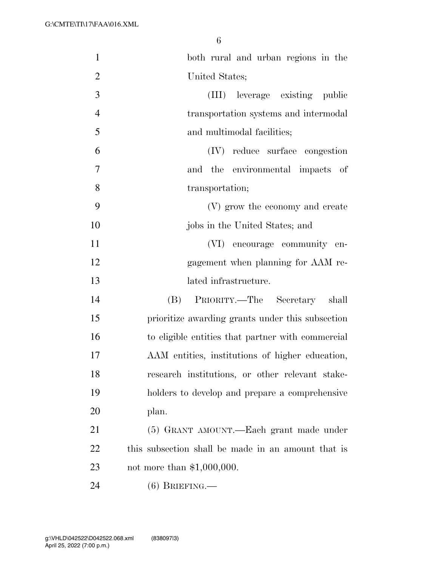| $\mathbf{1}$   | both rural and urban regions in the                |
|----------------|----------------------------------------------------|
| $\mathbf{2}$   | United States;                                     |
| 3              | (III) leverage existing public                     |
| $\overline{4}$ | transportation systems and intermodal              |
| 5              | and multimodal facilities;                         |
| 6              | (IV) reduce surface congestion                     |
| $\overline{7}$ | and the environmental impacts of                   |
| 8              | transportation;                                    |
| 9              | (V) grow the economy and create                    |
| 10             | jobs in the United States; and                     |
| 11             | (VI) encourage community en-                       |
| 12             | gagement when planning for AAM re-                 |
| 13             | lated infrastructure.                              |
| 14             | PRIORITY.—The Secretary shall<br>(B)               |
| 15             | prioritize awarding grants under this subsection   |
| 16             | to eligible entities that partner with commercial  |
| 17             | AAM entities, institutions of higher education,    |
| 18             | research institutions, or other relevant stake-    |
| 19             | holders to develop and prepare a comprehensive     |
| 20             | plan.                                              |
| 21             | (5) GRANT AMOUNT.—Each grant made under            |
| 22             | this subsection shall be made in an amount that is |
| 23             | not more than $$1,000,000$ .                       |
| 24             | $(6)$ BRIEFING.—                                   |
|                |                                                    |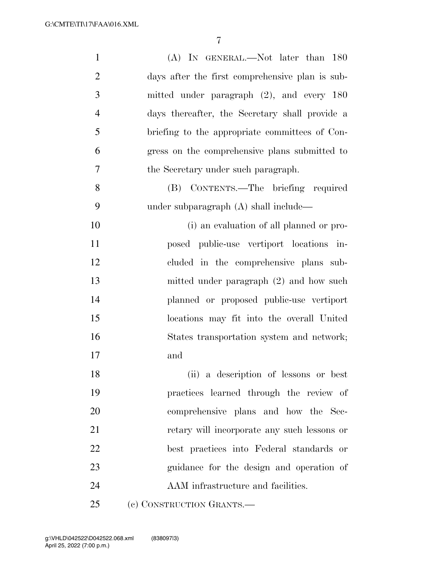| $\mathbf{1}$   | (A) IN GENERAL.—Not later than 180              |
|----------------|-------------------------------------------------|
| $\overline{2}$ | days after the first comprehensive plan is sub- |
| 3              | mitted under paragraph $(2)$ , and every 180    |
| $\overline{4}$ | days thereafter, the Secretary shall provide a  |
| 5              | briefing to the appropriate committees of Con-  |
| 6              | gress on the comprehensive plans submitted to   |
| 7              | the Secretary under such paragraph.             |
| 8              | (B) CONTENTS.—The briefing required             |
| 9              | under subparagraph (A) shall include—           |
| 10             | (i) an evaluation of all planned or pro-        |
| 11             | posed public-use vertiport locations in-        |
| 12             | cluded in the comprehensive plans sub-          |
| 13             | mitted under paragraph (2) and how such         |
| 14             | planned or proposed public-use vertiport        |
| 15             | locations may fit into the overall United       |
| 16             | States transportation system and network;       |
| 17             | and                                             |
| 18             | (ii) a description of lessons or best           |
| 19             | practices learned through the review of         |
| $20\,$         | comprehensive plans and how the Sec-            |
| 21             | retary will incorporate any such lessons or     |
| 22             | best practices into Federal standards or        |
| 23             | guidance for the design and operation of        |
| 24             | AAM infrastructure and facilities.              |
| 25             | (c) CONSTRUCTION GRANTS.-                       |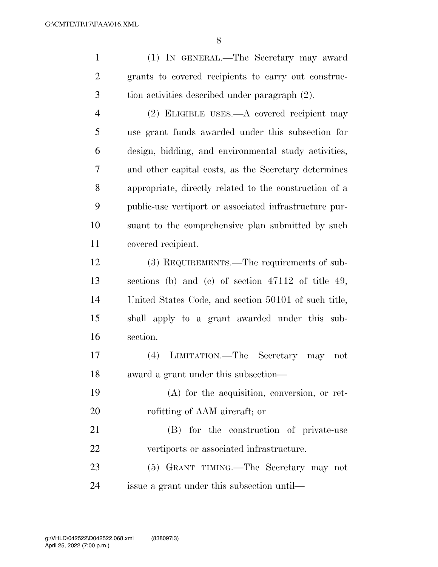(1) IN GENERAL.—The Secretary may award grants to covered recipients to carry out construc-tion activities described under paragraph (2).

 (2) ELIGIBLE USES.—A covered recipient may use grant funds awarded under this subsection for design, bidding, and environmental study activities, and other capital costs, as the Secretary determines appropriate, directly related to the construction of a public-use vertiport or associated infrastructure pur- suant to the comprehensive plan submitted by such covered recipient.

 (3) REQUIREMENTS.—The requirements of sub- sections (b) and (c) of section 47112 of title 49, United States Code, and section 50101 of such title, shall apply to a grant awarded under this sub-section.

 (4) LIMITATION.—The Secretary may not award a grant under this subsection—

 (A) for the acquisition, conversion, or ret-rofitting of AAM aircraft; or

 (B) for the construction of private-use vertiports or associated infrastructure.

 (5) GRANT TIMING.—The Secretary may not issue a grant under this subsection until—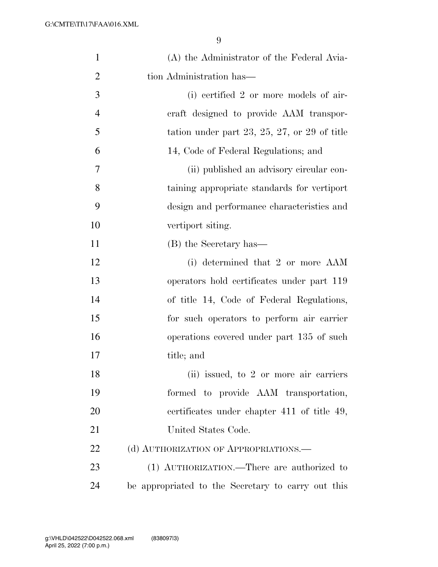| $\mathbf{1}$   | (A) the Administrator of the Federal Avia-         |
|----------------|----------------------------------------------------|
| $\overline{2}$ | tion Administration has—                           |
| 3              | (i) certified 2 or more models of air-             |
| $\overline{4}$ | craft designed to provide AAM transpor-            |
| 5              | tation under part 23, 25, 27, or 29 of title       |
| 6              | 14, Code of Federal Regulations; and               |
| 7              | (ii) published an advisory circular con-           |
| 8              | taining appropriate standards for vertiport        |
| 9              | design and performance characteristics and         |
| 10             | vertiport siting.                                  |
| 11             | (B) the Secretary has—                             |
| 12             | (i) determined that 2 or more AAM                  |
| 13             | operators hold certificates under part 119         |
| 14             | of title 14, Code of Federal Regulations,          |
| 15             | for such operators to perform air carrier          |
| 16             | operations covered under part 135 of such          |
| 17             | title; and                                         |
| 18             | (ii) issued, to 2 or more air carriers             |
| 19             | formed to provide AAM transportation,              |
| 20             | certificates under chapter 411 of title 49,        |
| 21             | United States Code.                                |
| 22             | (d) AUTHORIZATION OF APPROPRIATIONS.               |
| 23             | (1) AUTHORIZATION.—There are authorized to         |
| 24             | be appropriated to the Secretary to carry out this |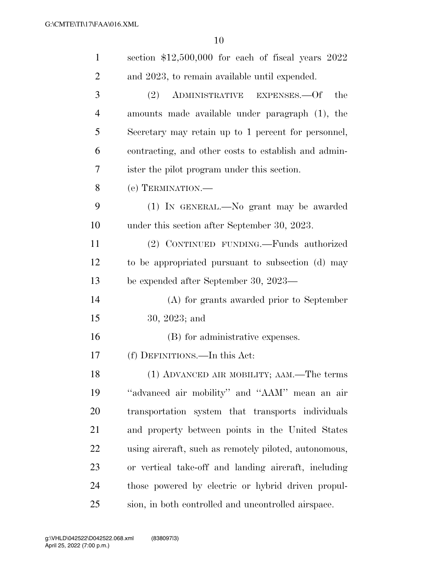| $\mathbf{1}$   | section \$12,500,000 for each of fiscal years 2022    |
|----------------|-------------------------------------------------------|
| $\overline{2}$ | and 2023, to remain available until expended.         |
| 3              | ADMINISTRATIVE EXPENSES.—Of<br>the<br>(2)             |
| $\overline{4}$ | amounts made available under paragraph (1), the       |
| 5              | Secretary may retain up to 1 percent for personnel,   |
| 6              | contracting, and other costs to establish and admin-  |
| 7              | ister the pilot program under this section.           |
| 8              | (e) TERMINATION.—                                     |
| 9              | (1) IN GENERAL.—No grant may be awarded               |
| 10             | under this section after September 30, 2023.          |
| 11             | (2) CONTINUED FUNDING.—Funds authorized               |
| 12             | to be appropriated pursuant to subsection (d) may     |
| 13             | be expended after September 30, 2023—                 |
| 14             | (A) for grants awarded prior to September             |
| 15             | $30, 2023;$ and                                       |
| 16             | (B) for administrative expenses.                      |
| 17             | (f) DEFINITIONS.—In this Act:                         |
| 18             | (1) ADVANCED AIR MOBILITY; AAM.—The terms             |
| 19             | "advanced air mobility" and "AAM" mean an air         |
| 20             | transportation system that transports individuals     |
| 21             | and property between points in the United States      |
| 22             | using aircraft, such as remotely piloted, autonomous, |
| 23             | or vertical take-off and landing aircraft, including  |
| 24             | those powered by electric or hybrid driven propul-    |
| 25             | sion, in both controlled and uncontrolled airspace.   |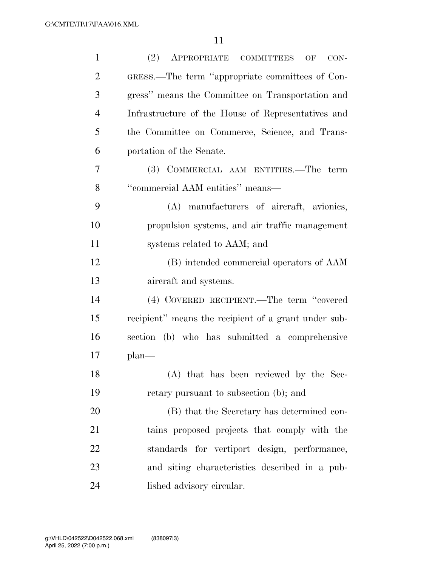| $\mathbf{1}$   | (2) APPROPRIATE COMMITTEES<br>$CON-$<br>OF           |
|----------------|------------------------------------------------------|
| $\overline{2}$ | GRESS.—The term "appropriate committees of Con-      |
| 3              | gress" means the Committee on Transportation and     |
| $\overline{4}$ | Infrastructure of the House of Representatives and   |
| 5              | the Committee on Commerce, Science, and Trans-       |
| 6              | portation of the Senate.                             |
| 7              | (3) COMMERCIAL AAM ENTITIES.—The term                |
| 8              | "commercial AAM entities" means-                     |
| 9              | (A) manufacturers of aircraft, avionies,             |
| 10             | propulsion systems, and air traffic management       |
| 11             | systems related to AAM; and                          |
| 12             | (B) intended commercial operators of AAM             |
| 13             | aircraft and systems.                                |
| 14             | (4) COVERED RECIPIENT.—The term "covered             |
| 15             | recipient" means the recipient of a grant under sub- |
| 16             | section (b) who has submitted a comprehensive        |
| 17             | $plan$ —                                             |
| 18             | (A) that has been reviewed by the Sec-               |
| 19             | retary pursuant to subsection (b); and               |
| 20             | (B) that the Secretary has determined con-           |
| 21             | tains proposed projects that comply with the         |
| 22             | standards for vertiport design, performance,         |
| 23             | and siting characteristics described in a pub-       |
| 24             | lished advisory circular.                            |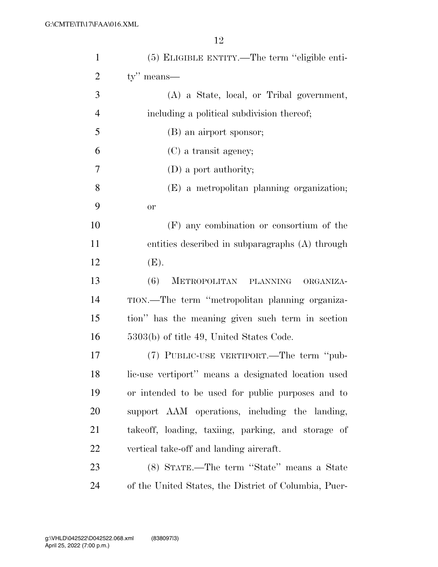| $\mathbf{1}$   | (5) ELIGIBLE ENTITY.—The term "eligible enti-         |
|----------------|-------------------------------------------------------|
| $\overline{2}$ | ty" means—                                            |
| 3              | (A) a State, local, or Tribal government,             |
| $\overline{4}$ | including a political subdivision thereof;            |
| 5              | (B) an airport sponsor;                               |
| 6              | (C) a transit agency;                                 |
| 7              | $(D)$ a port authority;                               |
| 8              | (E) a metropolitan planning organization;             |
| 9              | <b>or</b>                                             |
| 10             | (F) any combination or consortium of the              |
| 11             | entities described in subparagraphs (A) through       |
| 12             | (E).                                                  |
| 13             | (6)<br>METROPOLITAN PLANNING<br>ORGANIZA-             |
| 14             | TION.—The term "metropolitan planning organiza-       |
| 15             | tion" has the meaning given such term in section      |
| 16             | 5303(b) of title 49, United States Code.              |
| 17             | (7) PUBLIC-USE VERTIPORT.—The term "pub-              |
| 18             | lic-use vertiport" means a designated location used   |
| 19             | or intended to be used for public purposes and to     |
| 20             | support AAM operations, including the landing,        |
| 21             | takeoff, loading, taxiing, parking, and storage of    |
| 22             | vertical take-off and landing aircraft.               |
| 23             | (8) STATE.—The term "State" means a State             |
| 24             | of the United States, the District of Columbia, Puer- |